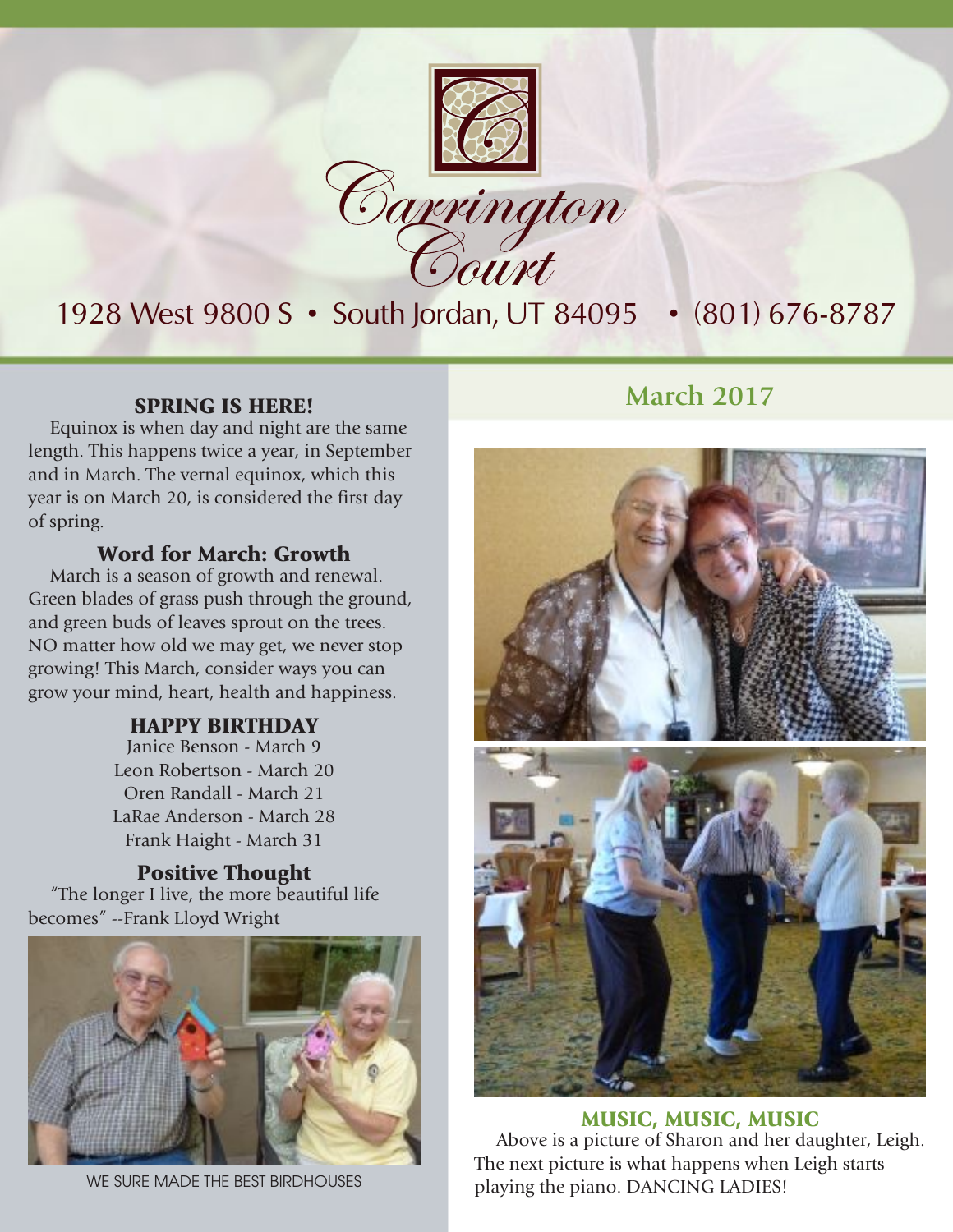

## 1928 West 9800 S • South Jordan, UT 84095 • (801) 676-8787

Equinox is when day and night are the same length. This happens twice a year, in September and in March. The vernal equinox, which this year is on March 20, is considered the first day of spring.

#### Word for March: Growth

March is a season of growth and renewal. Green blades of grass push through the ground, and green buds of leaves sprout on the trees. NO matter how old we may get, we never stop growing! This March, consider ways you can grow your mind, heart, health and happiness.

#### HAPPY BIRTHDAY

Janice Benson - March 9 Leon Robertson - March 20 Oren Randall - March 21 LaRae Anderson - March 28 Frank Haight - March 31

Positive Thought "The longer I live, the more beautiful life becomes" --Frank Lloyd Wright



WE SURE MADE THE BEST BIRDHOUSES

#### **SPRING IS HERE!** March 2017



MUSIC, MUSIC, MUSIC Above is a picture of Sharon and her daughter, Leigh. The next picture is what happens when Leigh starts playing the piano. DANCING LADIES!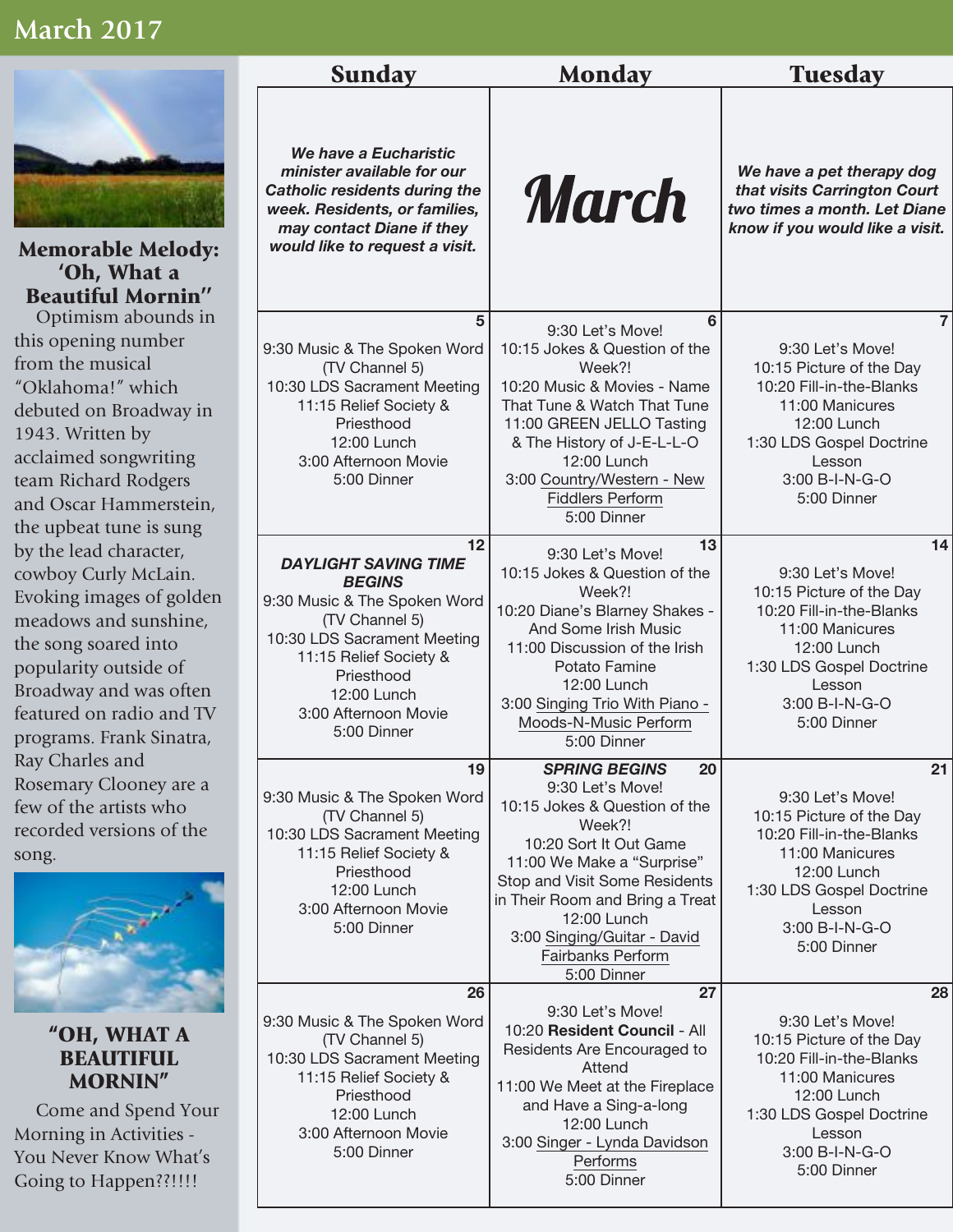#### **March 2017**



Memorable Melody: 'Oh, What a Beautiful Mornin'' Optimism abounds in

this opening number from the musical "Oklahoma!" which debuted on Broadway in 1943. Written by acclaimed songwriting team Richard Rodgers and Oscar Hammerstein, the upbeat tune is sung by the lead character, cowboy Curly McLain. Evoking images of golden meadows and sunshine, the song soared into popularity outside of Broadway and was often featured on radio and TV programs. Frank Sinatra, Ray Charles and Rosemary Clooney are a few of the artists who recorded versions of the song.



"OH, WHAT A **BEAUTIFUL** MORNIN"

Come and Spend Your Morning in Activities - You Never Know What's Going to Happen??!!!!

| <b>Sunday</b>                                                                                                                                                                                                                     | <b>Monday</b><br><b>Tuesday</b>                                                                                                                                                                                                                                                                         |                                                                                                                                                                                                     |
|-----------------------------------------------------------------------------------------------------------------------------------------------------------------------------------------------------------------------------------|---------------------------------------------------------------------------------------------------------------------------------------------------------------------------------------------------------------------------------------------------------------------------------------------------------|-----------------------------------------------------------------------------------------------------------------------------------------------------------------------------------------------------|
| We have a Eucharistic<br>minister available for our<br><b>Catholic residents during the</b><br>week. Residents, or families,<br>may contact Diane if they<br>would like to request a visit.                                       | <b>March</b>                                                                                                                                                                                                                                                                                            | We have a pet therapy dog<br>that visits Carrington Court<br>two times a month. Let Diane<br>know if you would like a visit.                                                                        |
| 5<br>9:30 Music & The Spoken Word<br>(TV Channel 5)<br>10:30 LDS Sacrament Meeting<br>11:15 Relief Society &<br>Priesthood<br>12:00 Lunch<br>3:00 Afternoon Movie<br>5:00 Dinner                                                  | 6<br>9:30 Let's Move!<br>10:15 Jokes & Question of the<br>Week?!<br>10:20 Music & Movies - Name<br>That Tune & Watch That Tune<br>11:00 GREEN JELLO Tasting<br>& The History of J-E-L-L-O<br>12:00 Lunch<br>3:00 Country/Western - New<br><b>Fiddlers Perform</b><br>5:00 Dinner                        | $\overline{7}$<br>9:30 Let's Move!<br>10:15 Picture of the Day<br>10:20 Fill-in-the-Blanks<br>11:00 Manicures<br>12:00 Lunch<br>1:30 LDS Gospel Doctrine<br>Lesson<br>3:00 B-I-N-G-O<br>5:00 Dinner |
| 12<br><b>DAYLIGHT SAVING TIME</b><br><b>BEGINS</b><br>9:30 Music & The Spoken Word<br>(TV Channel 5)<br>10:30 LDS Sacrament Meeting<br>11:15 Relief Society &<br>Priesthood<br>12:00 Lunch<br>3:00 Afternoon Movie<br>5:00 Dinner | 13<br>9:30 Let's Move!<br>10:15 Jokes & Question of the<br>Week?!<br>10:20 Diane's Blarney Shakes -<br>And Some Irish Music<br>11:00 Discussion of the Irish<br>Potato Famine<br>12:00 Lunch<br>3:00 Singing Trio With Piano -<br>Moods-N-Music Perform<br>5:00 Dinner                                  | 14<br>9:30 Let's Move!<br>10:15 Picture of the Day<br>10:20 Fill-in-the-Blanks<br>11:00 Manicures<br>12:00 Lunch<br>1:30 LDS Gospel Doctrine<br>Lesson<br>3:00 B-I-N-G-O<br>5:00 Dinner             |
| 19<br>9:30 Music & The Spoken Word<br>(TV Channel 5)<br>10:30 LDS Sacrament Meeting<br>11:15 Relief Society &<br>Priesthood<br>12:00 Lunch<br>3:00 Afternoon Movie<br>5:00 Dinner                                                 | <b>SPRING BEGINS</b><br>20<br>9:30 Let's Move!<br>10:15 Jokes & Question of the<br>Week?!<br>10:20 Sort It Out Game<br>11:00 We Make a "Surprise"<br>Stop and Visit Some Residents<br>in Their Room and Bring a Treat<br>12:00 Lunch<br>3:00 Singing/Guitar - David<br>Fairbanks Perform<br>5:00 Dinner | 21<br>9:30 Let's Move!<br>10:15 Picture of the Day<br>10:20 Fill-in-the-Blanks<br>11:00 Manicures<br>12:00 Lunch<br>1:30 LDS Gospel Doctrine<br>Lesson<br>3:00 B-I-N-G-O<br>5:00 Dinner             |
| 26<br>9:30 Music & The Spoken Word<br>(TV Channel 5)<br>10:30 LDS Sacrament Meeting<br>11:15 Relief Society &<br>Priesthood<br>12:00 Lunch<br>3:00 Afternoon Movie<br>5:00 Dinner                                                 | 27<br>9:30 Let's Move!<br>10:20 Resident Council - All<br>Residents Are Encouraged to<br>Attend<br>11:00 We Meet at the Fireplace<br>and Have a Sing-a-long<br>12:00 Lunch<br>3:00 Singer - Lynda Davidson<br>Performs<br>5:00 Dinner                                                                   | 28<br>9:30 Let's Move!<br>10:15 Picture of the Day<br>10:20 Fill-in-the-Blanks<br>11:00 Manicures<br>12:00 Lunch<br>1:30 LDS Gospel Doctrine<br>Lesson<br>3:00 B-I-N-G-O<br>5:00 Dinner             |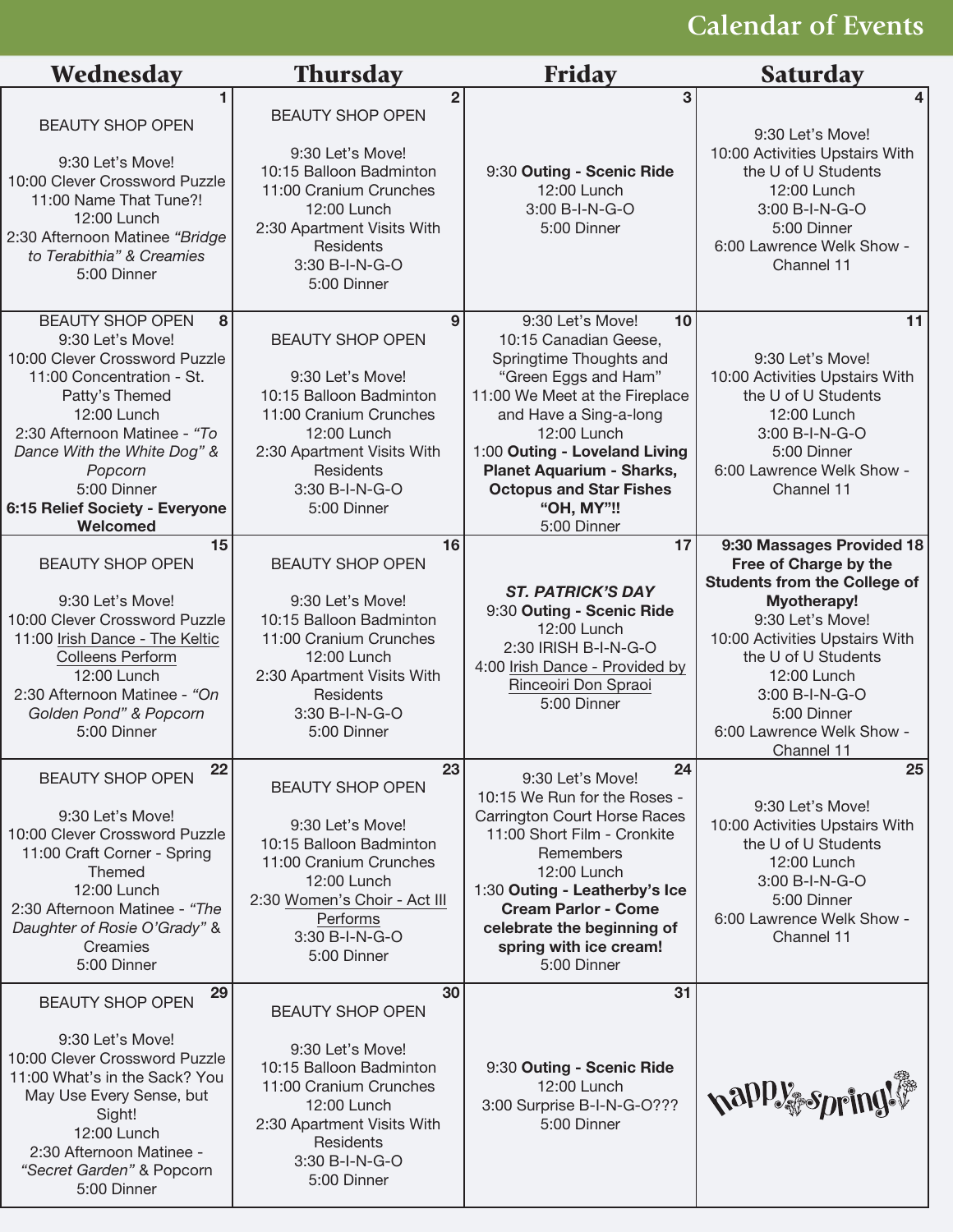# **Calendar of Events**

| Wednesday                                                                                                                                                                                                                                                                              | <b>Thursday</b>                                                                                                                                                                                               | <b>Friday</b>                                                                                                                                                                                                                                                                                                     | <b>Saturday</b>                                                                                                                                                                                                                                                                  |
|----------------------------------------------------------------------------------------------------------------------------------------------------------------------------------------------------------------------------------------------------------------------------------------|---------------------------------------------------------------------------------------------------------------------------------------------------------------------------------------------------------------|-------------------------------------------------------------------------------------------------------------------------------------------------------------------------------------------------------------------------------------------------------------------------------------------------------------------|----------------------------------------------------------------------------------------------------------------------------------------------------------------------------------------------------------------------------------------------------------------------------------|
| <b>BEAUTY SHOP OPEN</b><br>9:30 Let's Move!<br>10:00 Clever Crossword Puzzle<br>11:00 Name That Tune?!<br>12:00 Lunch<br>2:30 Afternoon Matinee "Bridge<br>to Terabithia" & Creamies<br>5:00 Dinner                                                                                    | $\overline{2}$<br><b>BEAUTY SHOP OPEN</b><br>9:30 Let's Move!<br>10:15 Balloon Badminton<br>11:00 Cranium Crunches<br>12:00 Lunch<br>2:30 Apartment Visits With<br>Residents<br>3:30 B-I-N-G-O<br>5:00 Dinner | 3<br>9:30 Outing - Scenic Ride<br>12:00 Lunch<br>3:00 B-I-N-G-O<br>5:00 Dinner                                                                                                                                                                                                                                    | 4<br>9:30 Let's Move!<br>10:00 Activities Upstairs With<br>the U of U Students<br>12:00 Lunch<br>3:00 B-I-N-G-O<br>5:00 Dinner<br>6:00 Lawrence Welk Show -<br>Channel 11                                                                                                        |
| <b>BEAUTY SHOP OPEN</b><br>8<br>9:30 Let's Move!<br>10:00 Clever Crossword Puzzle<br>11:00 Concentration - St.<br>Patty's Themed<br>12:00 Lunch<br>2:30 Afternoon Matinee - "To<br>Dance With the White Dog" &<br>Popcorn<br>5:00 Dinner<br>6:15 Relief Society - Everyone<br>Welcomed | 9<br><b>BEAUTY SHOP OPEN</b><br>9:30 Let's Move!<br>10:15 Balloon Badminton<br>11:00 Cranium Crunches<br>12:00 Lunch<br>2:30 Apartment Visits With<br>Residents<br>3:30 B-I-N-G-O<br>5:00 Dinner              | 9:30 Let's Move!<br>10<br>10:15 Canadian Geese,<br>Springtime Thoughts and<br>"Green Eggs and Ham"<br>11:00 We Meet at the Fireplace<br>and Have a Sing-a-long<br>12:00 Lunch<br>1:00 Outing - Loveland Living<br><b>Planet Aquarium - Sharks,</b><br><b>Octopus and Star Fishes</b><br>"OH, MY"!!<br>5:00 Dinner | 11<br>9:30 Let's Move!<br>10:00 Activities Upstairs With<br>the U of U Students<br>12:00 Lunch<br>3:00 B-I-N-G-O<br>5:00 Dinner<br>6:00 Lawrence Welk Show -<br>Channel 11                                                                                                       |
| 15<br><b>BEAUTY SHOP OPEN</b><br>9:30 Let's Move!<br>10:00 Clever Crossword Puzzle<br>11:00 Irish Dance - The Keltic<br><b>Colleens Perform</b><br>12:00 Lunch<br>2:30 Afternoon Matinee - "On<br>Golden Pond" & Popcorn<br>5:00 Dinner                                                | 16<br><b>BEAUTY SHOP OPEN</b><br>9:30 Let's Move!<br>10:15 Balloon Badminton<br>11:00 Cranium Crunches<br>12:00 Lunch<br>2:30 Apartment Visits With<br>Residents<br>3:30 B-I-N-G-O<br>5:00 Dinner             | 17<br><b>ST. PATRICK'S DAY</b><br>9:30 Outing - Scenic Ride<br>12:00 Lunch<br>2:30 IRISH B-I-N-G-O<br>4:00 Irish Dance - Provided by<br>Rinceoiri Don Spraoi<br>5:00 Dinner                                                                                                                                       | 9:30 Massages Provided 18<br>Free of Charge by the<br><b>Students from the College of</b><br>Myotherapy!<br>9:30 Let's Move!<br>10:00 Activities Upstairs With<br>the U of U Students<br>12:00 Lunch<br>3:00 B-I-N-G-O<br>5:00 Dinner<br>6:00 Lawrence Welk Show -<br>Channel 11 |
| 22<br><b>BEAUTY SHOP OPEN</b><br>9:30 Let's Move!<br>10:00 Clever Crossword Puzzle<br>11:00 Craft Corner - Spring<br><b>Themed</b><br>12:00 Lunch<br>2:30 Afternoon Matinee - "The<br>Daughter of Rosie O'Grady" &<br>Creamies<br>5:00 Dinner                                          | 23<br><b>BEAUTY SHOP OPEN</b><br>9:30 Let's Move!<br>10:15 Balloon Badminton<br>11:00 Cranium Crunches<br>12:00 Lunch<br>2:30 Women's Choir - Act III<br>Performs<br>3:30 B-I-N-G-O<br>5:00 Dinner            | 24<br>9:30 Let's Move!<br>10:15 We Run for the Roses -<br><b>Carrington Court Horse Races</b><br>11:00 Short Film - Cronkite<br>Remembers<br>12:00 Lunch<br>1:30 Outing - Leatherby's Ice<br><b>Cream Parlor - Come</b><br>celebrate the beginning of<br>spring with ice cream!<br>5:00 Dinner                    | 25<br>9:30 Let's Move!<br>10:00 Activities Upstairs With<br>the U of U Students<br>12:00 Lunch<br>3:00 B-I-N-G-O<br>5:00 Dinner<br>6:00 Lawrence Welk Show -<br>Channel 11                                                                                                       |
| 29<br><b>BEAUTY SHOP OPEN</b><br>9:30 Let's Move!<br>10:00 Clever Crossword Puzzle<br>11:00 What's in the Sack? You<br>May Use Every Sense, but<br>Sight!<br>12:00 Lunch<br>2:30 Afternoon Matinee -<br>"Secret Garden" & Popcorn<br>5:00 Dinner                                       | 30<br><b>BEAUTY SHOP OPEN</b><br>9:30 Let's Move!<br>10:15 Balloon Badminton<br>11:00 Cranium Crunches<br>12:00 Lunch<br>2:30 Apartment Visits With<br>Residents<br>3:30 B-I-N-G-O<br>5:00 Dinner             | 31<br>9:30 Outing - Scenic Ride<br>12:00 Lunch<br>3:00 Surprise B-I-N-G-O???<br>5:00 Dinner                                                                                                                                                                                                                       | happy spring!                                                                                                                                                                                                                                                                    |